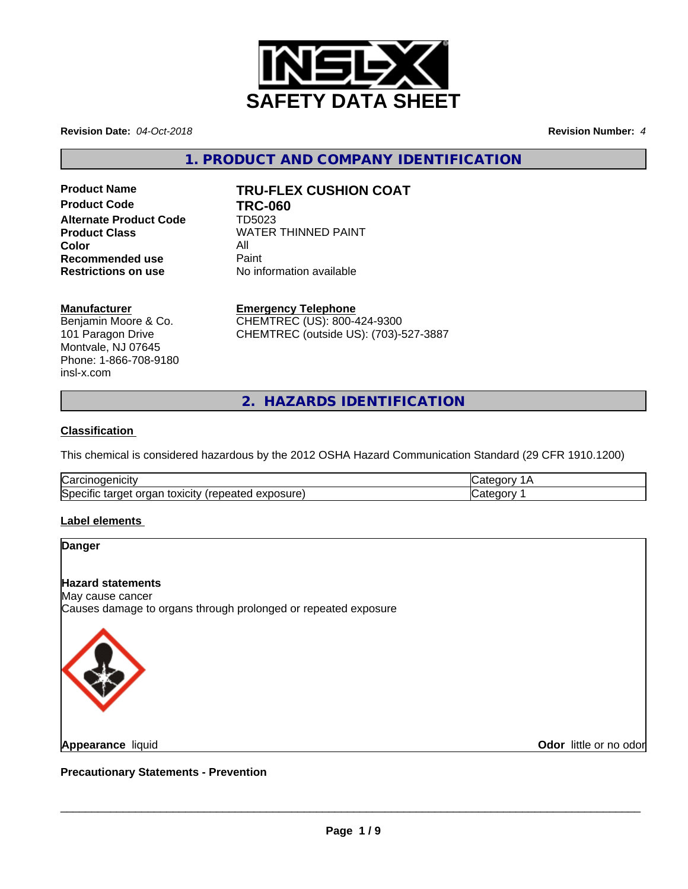

**Revision Date:** *04-Oct-2018* **Revision Number:** *4*

**1. PRODUCT AND COMPANY IDENTIFICATION**

**Product Code TRC-060 Alternate Product Code** TD5023 **Color** All All<br>**Recommended use** Paint **Recommended use<br>Restrictions on use** 

# **Product Name TRU-FLEX CUSHION COAT**

**Product Class WATER THINNED PAINT Restrictions on use** No information available

#### **Manufacturer**

Benjamin Moore & Co. 101 Paragon Drive Montvale, NJ 07645 Phone: 1-866-708-9180 insl-x.com

**Emergency Telephone**

CHEMTREC (US): 800-424-9300 CHEMTREC (outside US): (703)-527-3887

**2. HAZARDS IDENTIFICATION**

# **Classification**

This chemical is considered hazardous by the 2012 OSHA Hazard Communication Standard (29 CFR 1910.1200)

| ∽<br>Nai<br>ш                                                           |  |
|-------------------------------------------------------------------------|--|
| ∽<br>ISpr<br>∵ ∨xıcıtvٽ.<br>exposure.<br>eneater<br>arner .<br>uar<br>- |  |

# **Label elements**

# **Danger Hazard statements** May cause cancer Causes damage to organs through prolonged or repeated exposure

**Appearance** liquid

**Odor** little or no odor

**Precautionary Statements - Prevention**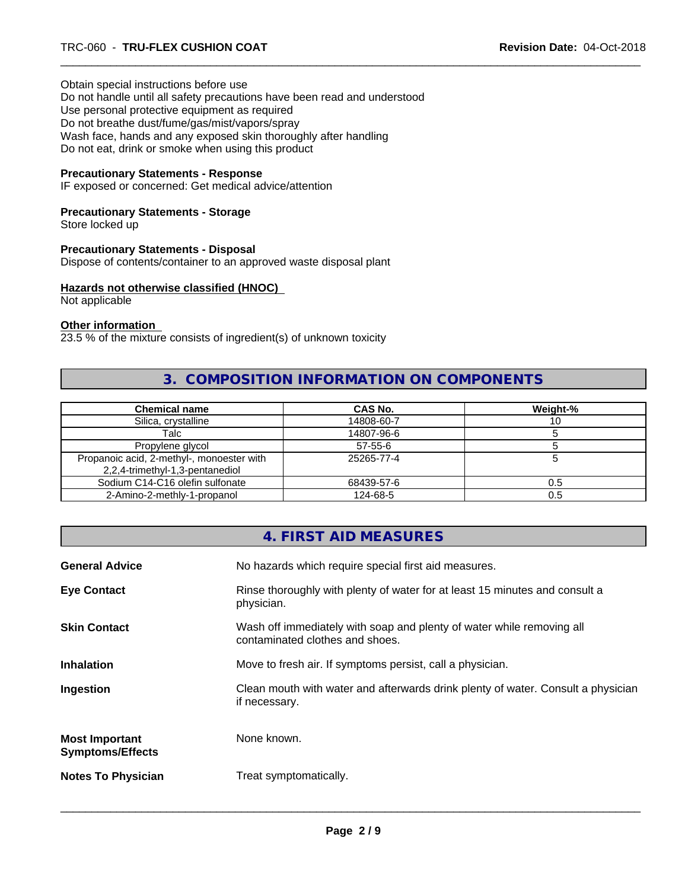Obtain special instructions before use Do not handle until all safety precautions have been read and understood Use personal protective equipment as required Do not breathe dust/fume/gas/mist/vapors/spray Wash face, hands and any exposed skin thoroughly after handling Do not eat, drink or smoke when using this product

#### **Precautionary Statements - Response**

IF exposed or concerned: Get medical advice/attention

# **Precautionary Statements - Storage**

Store locked up

#### **Precautionary Statements - Disposal**

Dispose of contents/container to an approved waste disposal plant

#### **Hazards not otherwise classified (HNOC)**

Not applicable

#### **Other information**

23.5 % of the mixture consists of ingredient(s) of unknown toxicity

# **3. COMPOSITION INFORMATION ON COMPONENTS**

| <b>Chemical name</b>                                                         | CAS No.    | Weight-% |
|------------------------------------------------------------------------------|------------|----------|
| Silica, crystalline                                                          | 14808-60-7 | ιU       |
| Talc                                                                         | 14807-96-6 |          |
| Propylene glycol                                                             | $57-55-6$  |          |
| Propanoic acid, 2-methyl-, monoester with<br>2,2,4-trimethyl-1,3-pentanediol | 25265-77-4 |          |
| Sodium C14-C16 olefin sulfonate                                              | 68439-57-6 | 0.5      |
| 2-Amino-2-methly-1-propanol                                                  | 124-68-5   | 0.5      |

# **4. FIRST AID MEASURES**

| <b>General Advice</b>                            | No hazards which require special first aid measures.                                                     |
|--------------------------------------------------|----------------------------------------------------------------------------------------------------------|
| <b>Eye Contact</b>                               | Rinse thoroughly with plenty of water for at least 15 minutes and consult a<br>physician.                |
| <b>Skin Contact</b>                              | Wash off immediately with soap and plenty of water while removing all<br>contaminated clothes and shoes. |
| <b>Inhalation</b>                                | Move to fresh air. If symptoms persist, call a physician.                                                |
| Ingestion                                        | Clean mouth with water and afterwards drink plenty of water. Consult a physician<br>if necessary.        |
| <b>Most Important</b><br><b>Symptoms/Effects</b> | None known.                                                                                              |
| <b>Notes To Physician</b>                        | Treat symptomatically.                                                                                   |
|                                                  |                                                                                                          |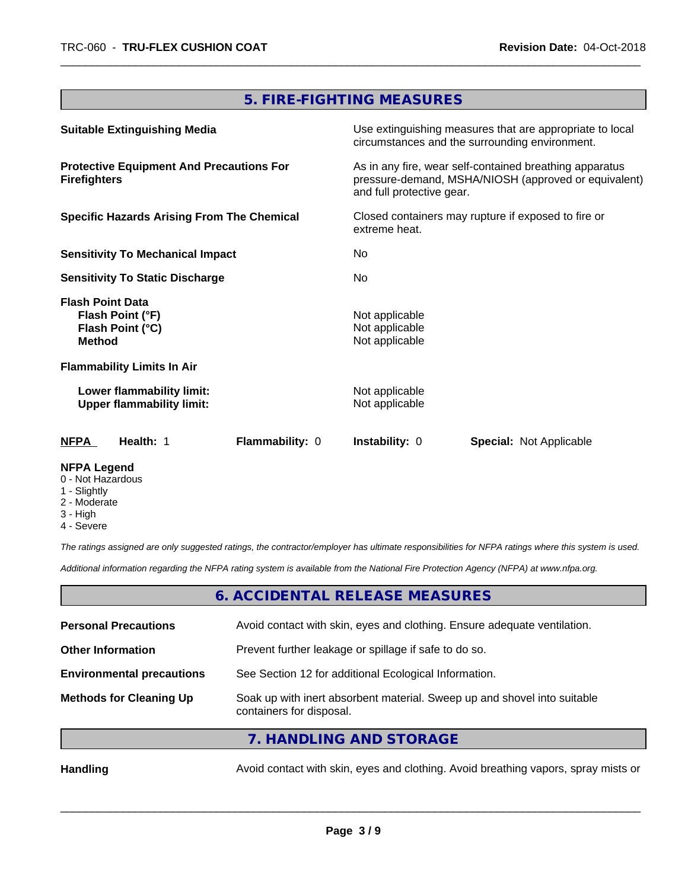# **5. FIRE-FIGHTING MEASURES**

| <b>Suitable Extinguishing Media</b>                                              |                 |                                                    | Use extinguishing measures that are appropriate to local<br>circumstances and the surrounding environment.      |
|----------------------------------------------------------------------------------|-----------------|----------------------------------------------------|-----------------------------------------------------------------------------------------------------------------|
| <b>Protective Equipment And Precautions For</b><br><b>Firefighters</b>           |                 | and full protective gear.                          | As in any fire, wear self-contained breathing apparatus<br>pressure-demand, MSHA/NIOSH (approved or equivalent) |
| <b>Specific Hazards Arising From The Chemical</b>                                |                 | extreme heat.                                      | Closed containers may rupture if exposed to fire or                                                             |
| <b>Sensitivity To Mechanical Impact</b>                                          |                 | No.                                                |                                                                                                                 |
| <b>Sensitivity To Static Discharge</b>                                           |                 | No.                                                |                                                                                                                 |
| <b>Flash Point Data</b><br>Flash Point (°F)<br>Flash Point (°C)<br><b>Method</b> |                 | Not applicable<br>Not applicable<br>Not applicable |                                                                                                                 |
| <b>Flammability Limits In Air</b>                                                |                 |                                                    |                                                                                                                 |
| Lower flammability limit:<br><b>Upper flammability limit:</b>                    |                 | Not applicable<br>Not applicable                   |                                                                                                                 |
| Health: 1<br><b>NFPA</b>                                                         | Flammability: 0 | <b>Instability: 0</b>                              | <b>Special: Not Applicable</b>                                                                                  |
| <b>NFPA Leaend</b>                                                               |                 |                                                    |                                                                                                                 |

- 0 Not Hazardous
- 1 Slightly
- 2 Moderate
- 3 High
- 4 Severe

*The ratings assigned are only suggested ratings, the contractor/employer has ultimate responsibilities for NFPA ratings where this system is used.*

*Additional information regarding the NFPA rating system is available from the National Fire Protection Agency (NFPA) at www.nfpa.org.*

# **6. ACCIDENTAL RELEASE MEASURES**

| <b>Personal Precautions</b>      | Avoid contact with skin, eyes and clothing. Ensure adequate ventilation.                             |
|----------------------------------|------------------------------------------------------------------------------------------------------|
| <b>Other Information</b>         | Prevent further leakage or spillage if safe to do so.                                                |
| <b>Environmental precautions</b> | See Section 12 for additional Ecological Information.                                                |
| <b>Methods for Cleaning Up</b>   | Soak up with inert absorbent material. Sweep up and shovel into suitable<br>containers for disposal. |

# **7. HANDLING AND STORAGE**

Handling **Handling** Avoid contact with skin, eyes and clothing. Avoid breathing vapors, spray mists or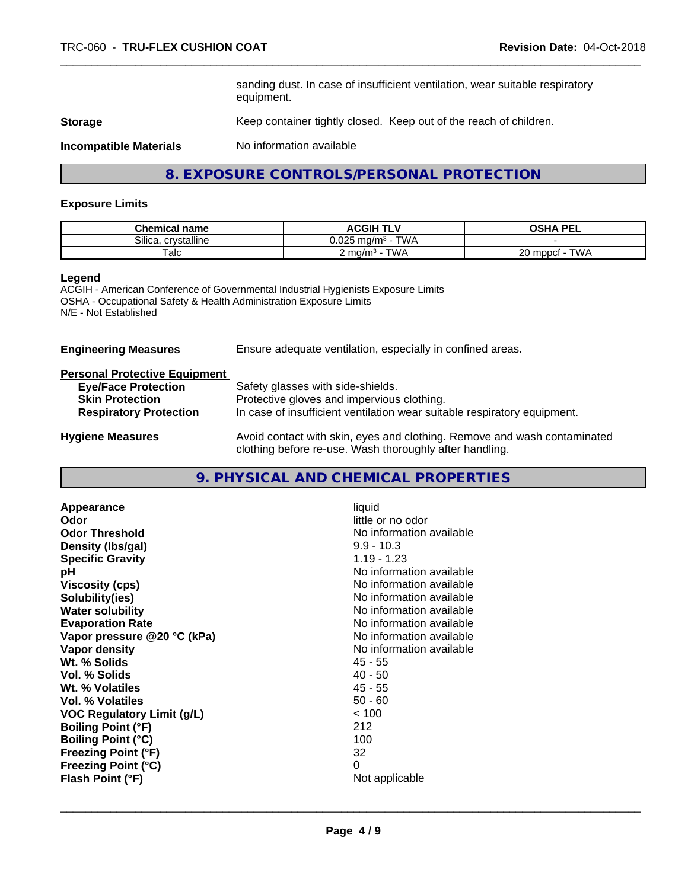sanding dust. In case of insufficient ventilation, wear suitable respiratory equipment.

**Storage** Keep container tightly closed. Keep out of the reach of children.

**Incompatible Materials** No information available

**8. EXPOSURE CONTROLS/PERSONAL PROTECTION**

#### **Exposure Limits**

| <b>Chemical name</b>  | ∧∪GIH TI <sup>v</sup>                      | <b>OSHA PEL</b><br>--                           |
|-----------------------|--------------------------------------------|-------------------------------------------------|
| Silica<br>crystalline | $T$ $M$<br>0.025<br>⊤mɑ/m∘ ·<br><b>VVH</b> |                                                 |
| Talc                  | TWA<br>m $\alpha/m^3$                      | T1111<br>ΩΩ<br>J mppc <sup>+</sup><br>VV/<br>∠∪ |

#### **Legend**

ACGIH - American Conference of Governmental Industrial Hygienists Exposure Limits OSHA - Occupational Safety & Health Administration Exposure Limits N/E - Not Established

| <b>Engineering Measures</b>          | Ensure adequate ventilation, especially in confined areas.                                                                          |
|--------------------------------------|-------------------------------------------------------------------------------------------------------------------------------------|
| <b>Personal Protective Equipment</b> |                                                                                                                                     |
| <b>Eye/Face Protection</b>           | Safety glasses with side-shields.                                                                                                   |
| <b>Skin Protection</b>               | Protective gloves and impervious clothing.                                                                                          |
| <b>Respiratory Protection</b>        | In case of insufficient ventilation wear suitable respiratory equipment.                                                            |
| <b>Hygiene Measures</b>              | Avoid contact with skin, eyes and clothing. Remove and wash contaminated<br>clothing before re-use. Wash thoroughly after handling. |

# **9. PHYSICAL AND CHEMICAL PROPERTIES**

| < 100<br><b>VOC Regulatory Limit (g/L)</b><br>212<br><b>Boiling Point (°F)</b><br>100<br><b>Boiling Point (°C)</b><br>32<br><b>Freezing Point (°F)</b><br>0<br><b>Freezing Point (°C)</b><br>Flash Point (°F)<br>Not applicable | Vol. % Solids<br>$40 - 50$<br>$45 - 55$<br>Wt. % Volatiles | Appearance<br>Odor<br><b>Odor Threshold</b><br>Density (Ibs/gal)<br><b>Specific Gravity</b><br>рH<br><b>Viscosity (cps)</b><br>Solubility(ies)<br><b>Water solubility</b><br><b>Evaporation Rate</b><br>Vapor pressure @20 °C (kPa)<br>Vapor density<br>Wt. % Solids<br>Vol. % Volatiles | liquid<br>little or no odor<br>No information available<br>$9.9 - 10.3$<br>$1.19 - 1.23$<br>No information available<br>No information available<br>No information available<br>No information available<br>No information available<br>No information available<br>No information available<br>45 - 55<br>$50 - 60$ |
|---------------------------------------------------------------------------------------------------------------------------------------------------------------------------------------------------------------------------------|------------------------------------------------------------|------------------------------------------------------------------------------------------------------------------------------------------------------------------------------------------------------------------------------------------------------------------------------------------|----------------------------------------------------------------------------------------------------------------------------------------------------------------------------------------------------------------------------------------------------------------------------------------------------------------------|
|                                                                                                                                                                                                                                 |                                                            |                                                                                                                                                                                                                                                                                          |                                                                                                                                                                                                                                                                                                                      |
|                                                                                                                                                                                                                                 |                                                            |                                                                                                                                                                                                                                                                                          |                                                                                                                                                                                                                                                                                                                      |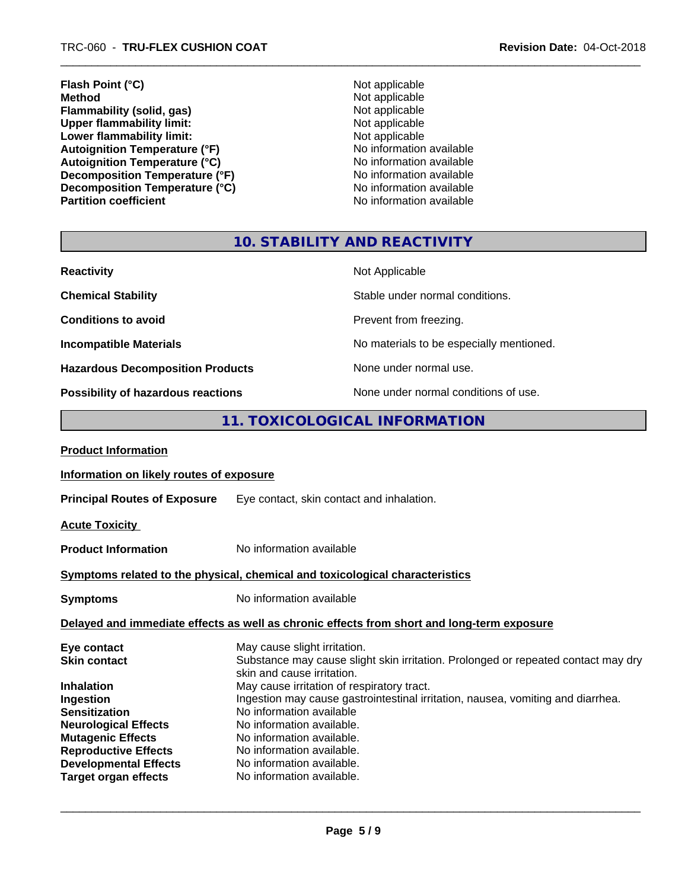**Flash Point (°C)** Not applicable **Method** Not applicable<br> **Flammability (solid, gas)** Not applicable Not applicable **Flammability (solid, gas)** Not applicable<br>
Upper flammability limit:<br>
Not applicable<br>
Not applicable Upper flammability limit:<br>
Lower flammability limit:<br>
Not applicable<br>
Not applicable **Lower flammability limit:**<br> **Autoignition Temperature (°F)**<br>
Mo information available Autoignition Temperature (°F)<br>
Autoignition Temperature (°C)<br>
No information available Autoignition Temperature (°C)<br>
Decomposition Temperature (°F)<br>
No information available **Decomposition Temperature (°F)**<br> **Decomposition Temperature (°C)** No information available<br>
No information available **Decomposition Temperature (°C)**<br>Partition coefficient

**No information available** 

# **10. STABILITY AND REACTIVITY**

| <b>Reactivity</b>                         | Not Applicable                           |
|-------------------------------------------|------------------------------------------|
| <b>Chemical Stability</b>                 | Stable under normal conditions.          |
| <b>Conditions to avoid</b>                | Prevent from freezing.                   |
| <b>Incompatible Materials</b>             | No materials to be especially mentioned. |
| <b>Hazardous Decomposition Products</b>   | None under normal use.                   |
| <b>Possibility of hazardous reactions</b> | None under normal conditions of use.     |

# **11. TOXICOLOGICAL INFORMATION**

| Information on likely routes of exposure                                                                                                                                                                                                                                                                   |
|------------------------------------------------------------------------------------------------------------------------------------------------------------------------------------------------------------------------------------------------------------------------------------------------------------|
| Eye contact, skin contact and inhalation.                                                                                                                                                                                                                                                                  |
|                                                                                                                                                                                                                                                                                                            |
| No information available                                                                                                                                                                                                                                                                                   |
| Symptoms related to the physical, chemical and toxicological characteristics                                                                                                                                                                                                                               |
| No information available                                                                                                                                                                                                                                                                                   |
| Delayed and immediate effects as well as chronic effects from short and long-term exposure                                                                                                                                                                                                                 |
| May cause slight irritation.<br>Substance may cause slight skin irritation. Prolonged or repeated contact may dry<br>skin and cause irritation.                                                                                                                                                            |
| May cause irritation of respiratory tract.<br>Ingestion may cause gastrointestinal irritation, nausea, vomiting and diarrhea.<br>No information available<br>No information available.<br>No information available.<br>No information available.<br>No information available.<br>No information available. |
|                                                                                                                                                                                                                                                                                                            |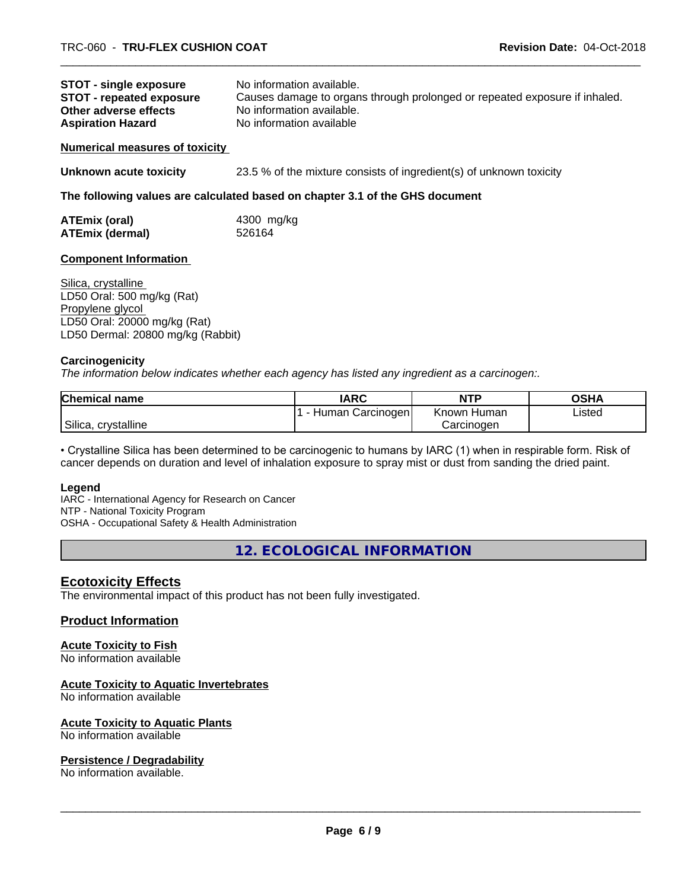| <b>STOT - single exposure</b>   | No information available.                                                  |
|---------------------------------|----------------------------------------------------------------------------|
| <b>STOT - repeated exposure</b> | Causes damage to organs through prolonged or repeated exposure if inhaled. |
| Other adverse effects           | No information available.                                                  |
| <b>Aspiration Hazard</b>        | No information available                                                   |

#### **Numerical measures of toxicity**

**Unknown acute toxicity** 23.5 % of the mixture consists of ingredient(s) of unknown toxicity

#### **The following values are calculated based on chapter 3.1 of the GHS document**

| ATEmix (oral)          | 4300 mg/kg |
|------------------------|------------|
| <b>ATEmix (dermal)</b> | 526164     |

#### **Component Information**

Silica, crystalline LD50 Oral: 500 mg/kg (Rat) Propylene glycol LD50 Oral: 20000 mg/kg (Rat) LD50 Dermal: 20800 mg/kg (Rabbit)

#### **Carcinogenicity**

*The information below indicateswhether each agency has listed any ingredient as a carcinogen:.*

| Chemical<br>name       | <b>IARC</b>                | <b>NTP</b>     | OSHA   |
|------------------------|----------------------------|----------------|--------|
|                        | Carcinogen<br>Human<br>. . | Known<br>Humar | Listed |
| Silica,<br>crystalline |                            | Carcinogen     |        |

• Crystalline Silica has been determined to be carcinogenic to humans by IARC (1) when in respirable form. Risk of cancer depends on duration and level of inhalation exposure to spray mist or dust from sanding the dried paint.

#### **Legend**

IARC - International Agency for Research on Cancer NTP - National Toxicity Program OSHA - Occupational Safety & Health Administration

**12. ECOLOGICAL INFORMATION**

# **Ecotoxicity Effects**

The environmental impact of this product has not been fully investigated.

#### **Product Information**

#### **Acute Toxicity to Fish**

No information available

#### **Acute Toxicity to Aquatic Invertebrates**

No information available

#### **Acute Toxicity to Aquatic Plants**

No information available

#### **Persistence / Degradability**

No information available.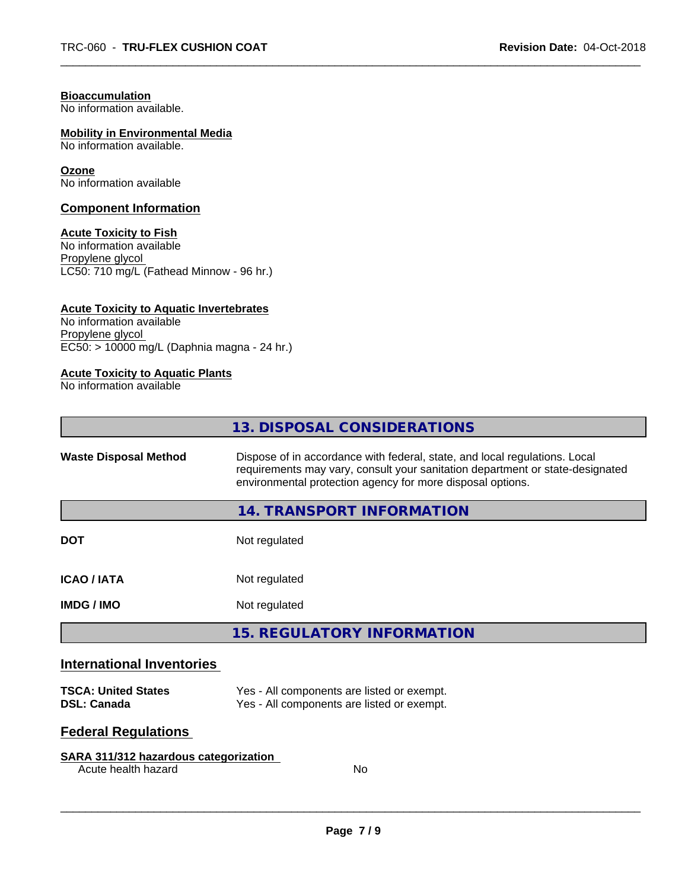#### **Bioaccumulation**

No information available.

#### **Mobility in Environmental Media**

No information available.

#### **Ozone**

No information available

#### **Component Information**

#### **Acute Toxicity to Fish**

No information available Propylene glycol LC50: 710 mg/L (Fathead Minnow - 96 hr.)

#### **Acute Toxicity to Aquatic Invertebrates**

No information available Propylene glycol EC50: > 10000 mg/L (Daphnia magna - 24 hr.)

#### **Acute Toxicity to Aquatic Plants**

No information available

|                                  | 13. DISPOSAL CONSIDERATIONS                                                                                                                                                                                               |
|----------------------------------|---------------------------------------------------------------------------------------------------------------------------------------------------------------------------------------------------------------------------|
| <b>Waste Disposal Method</b>     | Dispose of in accordance with federal, state, and local regulations. Local<br>requirements may vary, consult your sanitation department or state-designated<br>environmental protection agency for more disposal options. |
|                                  | 14. TRANSPORT INFORMATION                                                                                                                                                                                                 |
| <b>DOT</b>                       | Not regulated                                                                                                                                                                                                             |
| <b>ICAO/IATA</b>                 | Not regulated                                                                                                                                                                                                             |
| <b>IMDG/IMO</b>                  | Not regulated                                                                                                                                                                                                             |
|                                  | <b>15. REGULATORY INFORMATION</b>                                                                                                                                                                                         |
| <b>International Inventories</b> |                                                                                                                                                                                                                           |

#### **TSCA: United States** Yes - All components are listed or exempt.<br> **DSL: Canada** Yes - All components are listed or exempt. Yes - All components are listed or exempt.

# **Federal Regulations**

#### **SARA 311/312 hazardous categorization**

Acute health hazard No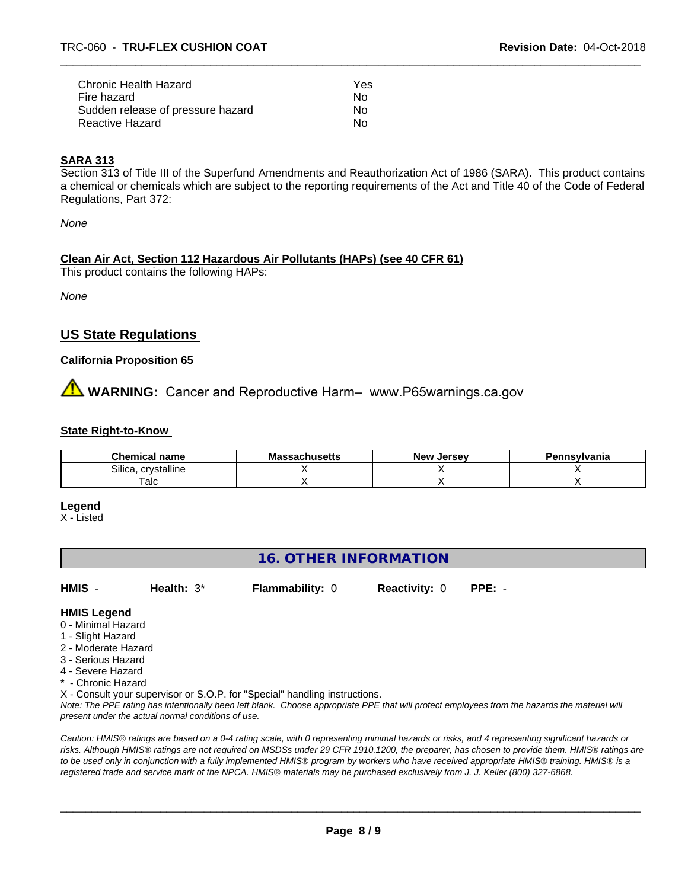| Chronic Health Hazard             | Yes |  |
|-----------------------------------|-----|--|
| Fire hazard                       | No. |  |
| Sudden release of pressure hazard | No. |  |
| Reactive Hazard                   | No. |  |

# **SARA 313**

Section 313 of Title III of the Superfund Amendments and Reauthorization Act of 1986 (SARA). This product contains a chemical or chemicals which are subject to the reporting requirements of the Act and Title 40 of the Code of Federal Regulations, Part 372:

*None*

#### **Clean Air Act,Section 112 Hazardous Air Pollutants (HAPs) (see 40 CFR 61)**

This product contains the following HAPs:

*None*

# **US State Regulations**

#### **California Proposition 65**

**WARNING:** Cancer and Reproductive Harm– www.P65warnings.ca.gov

#### **State Right-to-Know**

| <b>Chemical name</b>  | باامعت<br>ма<br>.<br>⊶atinus <del>c</del> us | . Jersev<br><b>New</b> | <b>`nsvivania</b> |
|-----------------------|----------------------------------------------|------------------------|-------------------|
| Silica<br>crystalline |                                              |                        |                   |
| alc                   |                                              |                        |                   |

#### **Legend**

X - Listed

# **16. OTHER INFORMATION**

- **HMIS Health:** 3\* **Flammability:** 0 **Reactivity:** 0 **PPE:** -
- **HMIS Legend**
- 0 Minimal Hazard
- 1 Slight Hazard
- 2 Moderate Hazard
- 3 Serious Hazard
- 4 Severe Hazard
- Chronic Hazard

X - Consult your supervisor or S.O.P. for "Special" handling instructions.

*Note: The PPE rating has intentionally been left blank. Choose appropriate PPE that will protect employees from the hazards the material will present under the actual normal conditions of use.*

*Caution: HMISÒ ratings are based on a 0-4 rating scale, with 0 representing minimal hazards or risks, and 4 representing significant hazards or risks. Although HMISÒ ratings are not required on MSDSs under 29 CFR 1910.1200, the preparer, has chosen to provide them. HMISÒ ratings are to be used only in conjunction with a fully implemented HMISÒ program by workers who have received appropriate HMISÒ training. HMISÒ is a registered trade and service mark of the NPCA. HMISÒ materials may be purchased exclusively from J. J. Keller (800) 327-6868.*